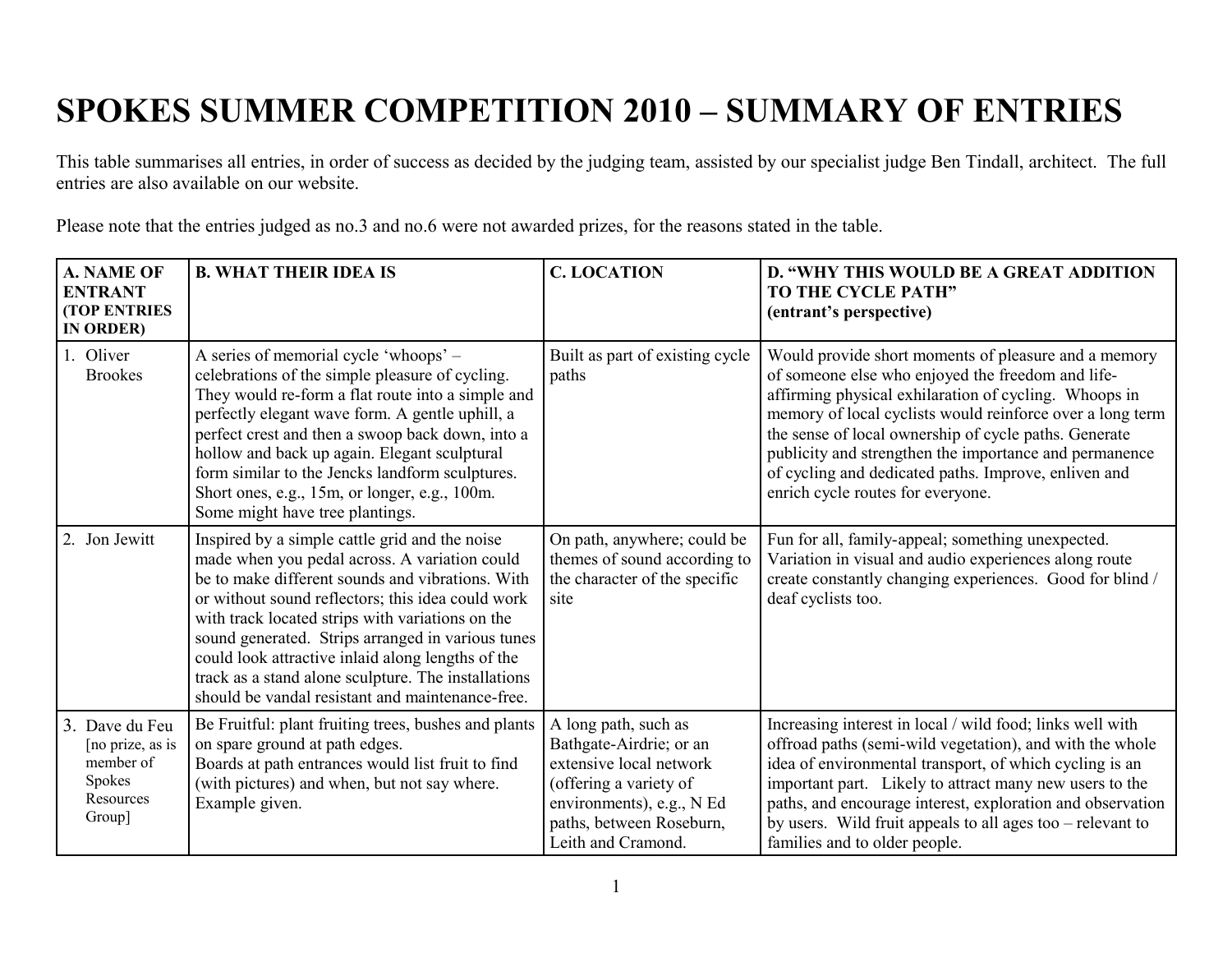## **SPOKES SUMMER COMPETITION 2010 – SUMMARY OF ENTRIES**

This table summarises all entries, in order of success as decided by the judging team, assisted by our specialist judge Ben Tindall, architect. The full entries are also available on our website.

Please note that the entries judged as no.3 and no.6 were not awarded prizes, for the reasons stated in the table.

| <b>A. NAME OF</b><br><b>ENTRANT</b><br><b>(TOP ENTRIES)</b><br>IN ORDER)         | <b>B. WHAT THEIR IDEA IS</b>                                                                                                                                                                                                                                                                                                                                                                                                                                                      | <b>C. LOCATION</b>                                                                                                                                                                  | D. "WHY THIS WOULD BE A GREAT ADDITION<br>TO THE CYCLE PATH"<br>(entrant's perspective)                                                                                                                                                                                                                                                                                                                                                         |
|----------------------------------------------------------------------------------|-----------------------------------------------------------------------------------------------------------------------------------------------------------------------------------------------------------------------------------------------------------------------------------------------------------------------------------------------------------------------------------------------------------------------------------------------------------------------------------|-------------------------------------------------------------------------------------------------------------------------------------------------------------------------------------|-------------------------------------------------------------------------------------------------------------------------------------------------------------------------------------------------------------------------------------------------------------------------------------------------------------------------------------------------------------------------------------------------------------------------------------------------|
| 1. Oliver<br><b>Brookes</b>                                                      | A series of memorial cycle 'whoops' –<br>celebrations of the simple pleasure of cycling.<br>They would re-form a flat route into a simple and<br>perfectly elegant wave form. A gentle uphill, a<br>perfect crest and then a swoop back down, into a<br>hollow and back up again. Elegant sculptural<br>form similar to the Jencks landform sculptures.<br>Short ones, e.g., 15m, or longer, e.g., 100m.<br>Some might have tree plantings.                                       | Built as part of existing cycle<br>paths                                                                                                                                            | Would provide short moments of pleasure and a memory<br>of someone else who enjoyed the freedom and life-<br>affirming physical exhilaration of cycling. Whoops in<br>memory of local cyclists would reinforce over a long term<br>the sense of local ownership of cycle paths. Generate<br>publicity and strengthen the importance and permanence<br>of cycling and dedicated paths. Improve, enliven and<br>enrich cycle routes for everyone. |
| 2. Jon Jewitt                                                                    | Inspired by a simple cattle grid and the noise<br>made when you pedal across. A variation could<br>be to make different sounds and vibrations. With<br>or without sound reflectors; this idea could work<br>with track located strips with variations on the<br>sound generated. Strips arranged in various tunes<br>could look attractive inlaid along lengths of the<br>track as a stand alone sculpture. The installations<br>should be vandal resistant and maintenance-free. | On path, anywhere; could be<br>themes of sound according to<br>the character of the specific<br>site                                                                                | Fun for all, family-appeal; something unexpected.<br>Variation in visual and audio experiences along route<br>create constantly changing experiences. Good for blind /<br>deaf cyclists too.                                                                                                                                                                                                                                                    |
| 3. Dave du Feu<br>[no prize, as is<br>member of<br>Spokes<br>Resources<br>Group] | Be Fruitful: plant fruiting trees, bushes and plants<br>on spare ground at path edges.<br>Boards at path entrances would list fruit to find<br>(with pictures) and when, but not say where.<br>Example given.                                                                                                                                                                                                                                                                     | A long path, such as<br>Bathgate-Airdrie; or an<br>extensive local network<br>(offering a variety of<br>environments), e.g., N Ed<br>paths, between Roseburn,<br>Leith and Cramond. | Increasing interest in local / wild food; links well with<br>offroad paths (semi-wild vegetation), and with the whole<br>idea of environmental transport, of which cycling is an<br>important part. Likely to attract many new users to the<br>paths, and encourage interest, exploration and observation<br>by users. Wild fruit appeals to all ages too $-$ relevant to<br>families and to older people.                                      |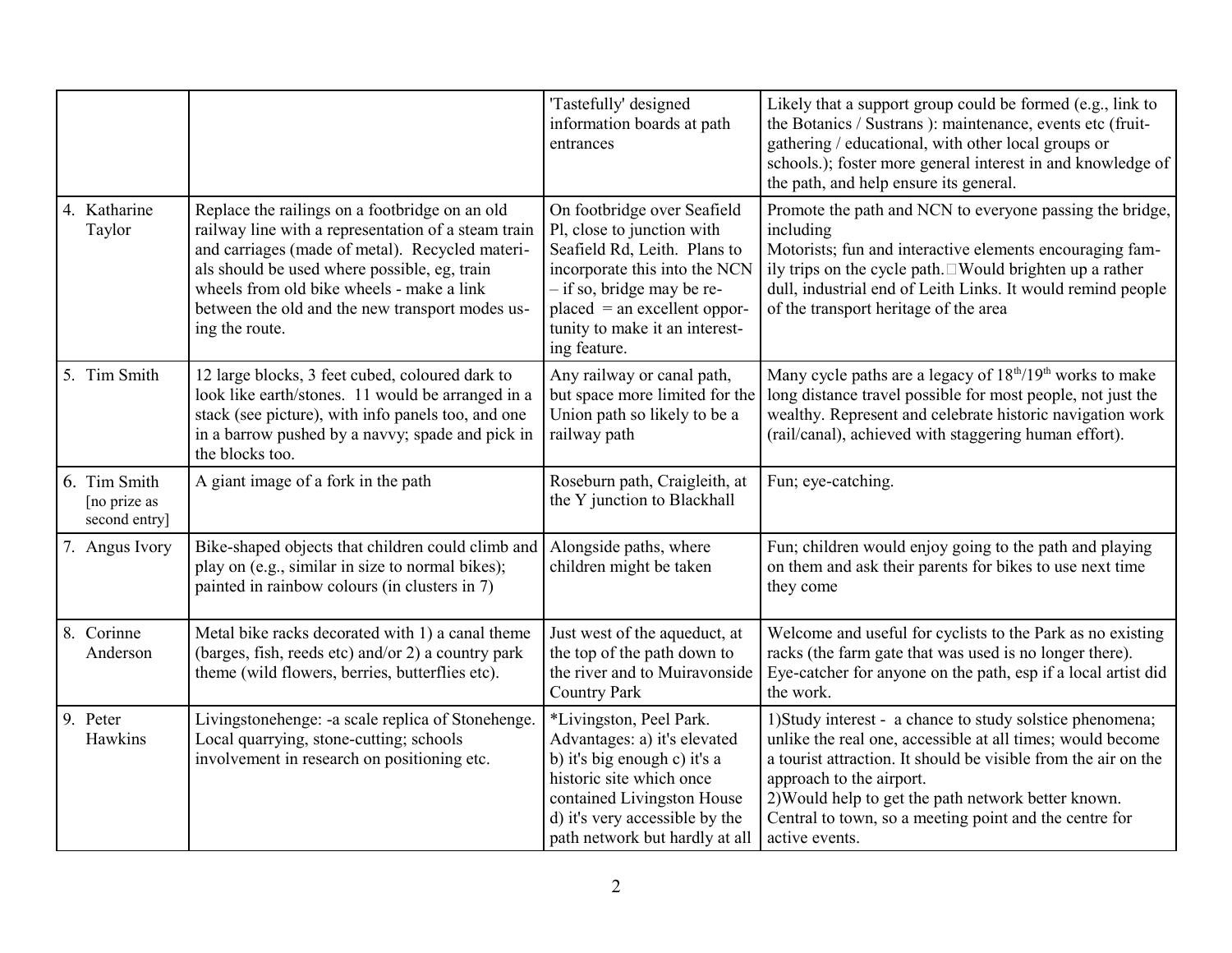|                                               |                                                                                                                                                                                                                                                                                                                            | 'Tastefully' designed<br>information boards at path<br>entrances                                                                                                                                                                             | Likely that a support group could be formed (e.g., link to<br>the Botanics / Sustrans ): maintenance, events etc (fruit-<br>gathering / educational, with other local groups or<br>schools.); foster more general interest in and knowledge of<br>the path, and help ensure its general.                                                                 |
|-----------------------------------------------|----------------------------------------------------------------------------------------------------------------------------------------------------------------------------------------------------------------------------------------------------------------------------------------------------------------------------|----------------------------------------------------------------------------------------------------------------------------------------------------------------------------------------------------------------------------------------------|----------------------------------------------------------------------------------------------------------------------------------------------------------------------------------------------------------------------------------------------------------------------------------------------------------------------------------------------------------|
| 4. Katharine<br>Taylor                        | Replace the railings on a footbridge on an old<br>railway line with a representation of a steam train<br>and carriages (made of metal). Recycled materi-<br>als should be used where possible, eg, train<br>wheels from old bike wheels - make a link<br>between the old and the new transport modes us-<br>ing the route. | On footbridge over Seafield<br>Pl, close to junction with<br>Seafield Rd, Leith. Plans to<br>incorporate this into the NCN<br>- if so, bridge may be re-<br>$placed = an excellent oppor-$<br>tunity to make it an interest-<br>ing feature. | Promote the path and NCN to everyone passing the bridge,<br>including<br>Motorists; fun and interactive elements encouraging fam-<br>ily trips on the cycle path. □Would brighten up a rather<br>dull, industrial end of Leith Links. It would remind people<br>of the transport heritage of the area                                                    |
| 5. Tim Smith                                  | 12 large blocks, 3 feet cubed, coloured dark to<br>look like earth/stones. 11 would be arranged in a<br>stack (see picture), with info panels too, and one<br>in a barrow pushed by a navvy; spade and pick in<br>the blocks too.                                                                                          | Any railway or canal path,<br>but space more limited for the<br>Union path so likely to be a<br>railway path                                                                                                                                 | Many cycle paths are a legacy of 18 <sup>th</sup> /19 <sup>th</sup> works to make<br>long distance travel possible for most people, not just the<br>wealthy. Represent and celebrate historic navigation work<br>(rail/canal), achieved with staggering human effort).                                                                                   |
| 6. Tim Smith<br>[no prize as<br>second entry] | A giant image of a fork in the path                                                                                                                                                                                                                                                                                        | Roseburn path, Craigleith, at<br>the Y junction to Blackhall                                                                                                                                                                                 | Fun; eye-catching.                                                                                                                                                                                                                                                                                                                                       |
| 7. Angus Ivory                                | Bike-shaped objects that children could climb and<br>play on (e.g., similar in size to normal bikes);<br>painted in rainbow colours (in clusters in 7)                                                                                                                                                                     | Alongside paths, where<br>children might be taken                                                                                                                                                                                            | Fun; children would enjoy going to the path and playing<br>on them and ask their parents for bikes to use next time<br>they come                                                                                                                                                                                                                         |
| 8. Corinne<br>Anderson                        | Metal bike racks decorated with 1) a canal theme<br>(barges, fish, reeds etc) and/or 2) a country park<br>theme (wild flowers, berries, butterflies etc).                                                                                                                                                                  | Just west of the aqueduct, at<br>the top of the path down to<br>the river and to Muiravonside<br><b>Country Park</b>                                                                                                                         | Welcome and useful for cyclists to the Park as no existing<br>racks (the farm gate that was used is no longer there).<br>Eye-catcher for anyone on the path, esp if a local artist did<br>the work.                                                                                                                                                      |
| 9. Peter<br>Hawkins                           | Livingstonehenge: -a scale replica of Stonehenge.<br>Local quarrying, stone-cutting; schools<br>involvement in research on positioning etc.                                                                                                                                                                                | *Livingston, Peel Park.<br>Advantages: a) it's elevated<br>b) it's big enough c) it's a<br>historic site which once<br>contained Livingston House<br>d) it's very accessible by the<br>path network but hardly at all                        | 1) Study interest - a chance to study solstice phenomena;<br>unlike the real one, accessible at all times; would become<br>a tourist attraction. It should be visible from the air on the<br>approach to the airport.<br>2) Would help to get the path network better known.<br>Central to town, so a meeting point and the centre for<br>active events. |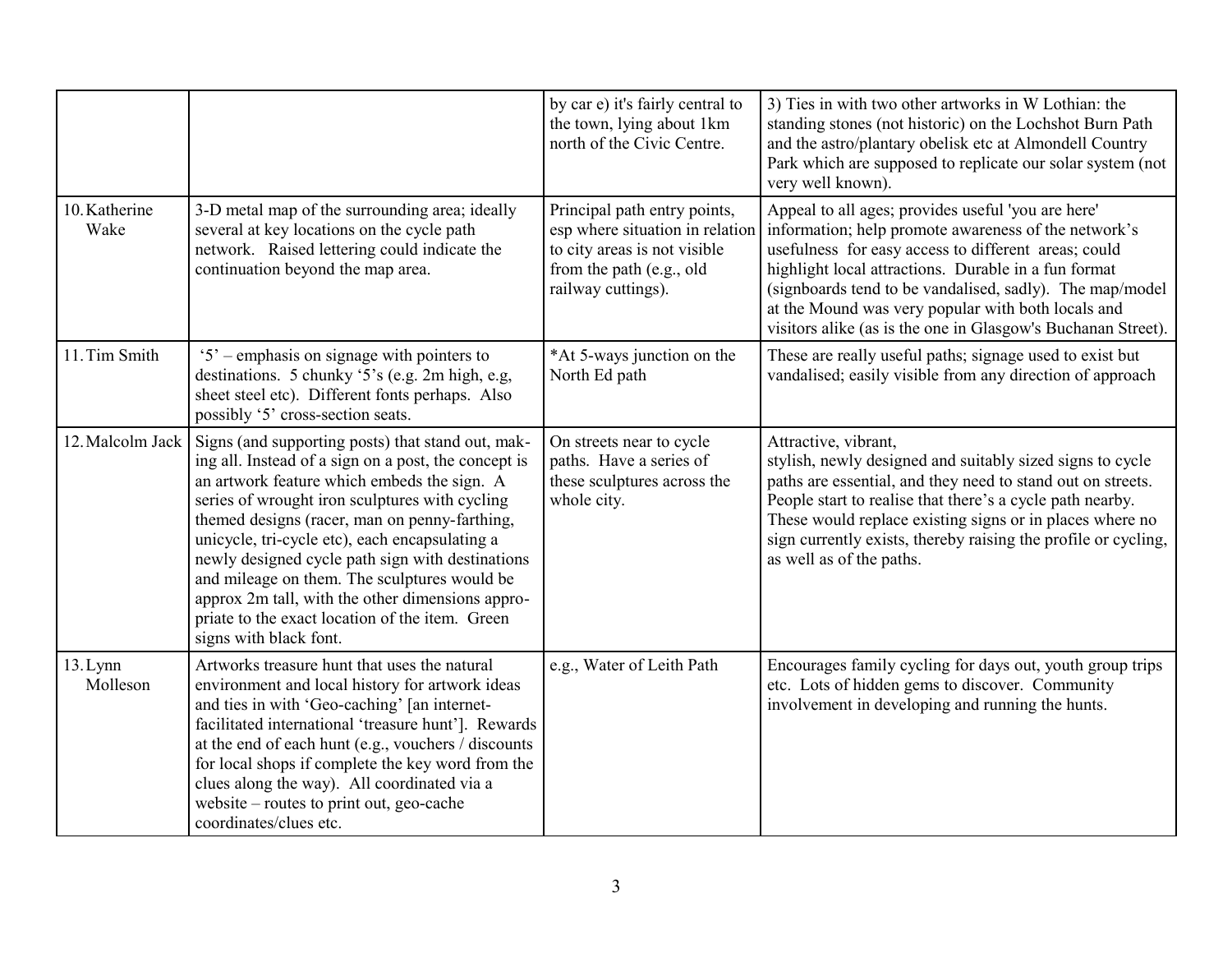|                       |                                                                                                                                                                                                                                                                                                                                                                                                                                                                                                                                                    | by car e) it's fairly central to<br>the town, lying about 1km<br>north of the Civic Centre.                                                       | 3) Ties in with two other artworks in W Lothian: the<br>standing stones (not historic) on the Lochshot Burn Path<br>and the astro/plantary obelisk etc at Almondell Country<br>Park which are supposed to replicate our solar system (not<br>very well known).                                                                                                                                               |
|-----------------------|----------------------------------------------------------------------------------------------------------------------------------------------------------------------------------------------------------------------------------------------------------------------------------------------------------------------------------------------------------------------------------------------------------------------------------------------------------------------------------------------------------------------------------------------------|---------------------------------------------------------------------------------------------------------------------------------------------------|--------------------------------------------------------------------------------------------------------------------------------------------------------------------------------------------------------------------------------------------------------------------------------------------------------------------------------------------------------------------------------------------------------------|
| 10. Katherine<br>Wake | 3-D metal map of the surrounding area; ideally<br>several at key locations on the cycle path<br>network. Raised lettering could indicate the<br>continuation beyond the map area.                                                                                                                                                                                                                                                                                                                                                                  | Principal path entry points,<br>esp where situation in relation<br>to city areas is not visible<br>from the path (e.g., old<br>railway cuttings). | Appeal to all ages; provides useful 'you are here'<br>information; help promote awareness of the network's<br>usefulness for easy access to different areas; could<br>highlight local attractions. Durable in a fun format<br>(signboards tend to be vandalised, sadly). The map/model<br>at the Mound was very popular with both locals and<br>visitors alike (as is the one in Glasgow's Buchanan Street). |
| 11. Tim Smith         | $5^\circ$ – emphasis on signage with pointers to<br>destinations. 5 chunky '5's (e.g. 2m high, e.g.<br>sheet steel etc). Different fonts perhaps. Also<br>possibly '5' cross-section seats.                                                                                                                                                                                                                                                                                                                                                        | *At 5-ways junction on the<br>North Ed path                                                                                                       | These are really useful paths; signage used to exist but<br>vandalised; easily visible from any direction of approach                                                                                                                                                                                                                                                                                        |
| 12. Malcolm Jack      | Signs (and supporting posts) that stand out, mak-<br>ing all. Instead of a sign on a post, the concept is<br>an artwork feature which embeds the sign. A<br>series of wrought iron sculptures with cycling<br>themed designs (racer, man on penny-farthing,<br>unicycle, tri-cycle etc), each encapsulating a<br>newly designed cycle path sign with destinations<br>and mileage on them. The sculptures would be<br>approx 2m tall, with the other dimensions appro-<br>priate to the exact location of the item. Green<br>signs with black font. | On streets near to cycle<br>paths. Have a series of<br>these sculptures across the<br>whole city.                                                 | Attractive, vibrant,<br>stylish, newly designed and suitably sized signs to cycle<br>paths are essential, and they need to stand out on streets.<br>People start to realise that there's a cycle path nearby.<br>These would replace existing signs or in places where no<br>sign currently exists, thereby raising the profile or cycling,<br>as well as of the paths.                                      |
| 13.Lymn<br>Molleson   | Artworks treasure hunt that uses the natural<br>environment and local history for artwork ideas<br>and ties in with 'Geo-caching' [an internet-<br>facilitated international 'treasure hunt']. Rewards<br>at the end of each hunt (e.g., vouchers / discounts<br>for local shops if complete the key word from the<br>clues along the way). All coordinated via a<br>website – routes to print out, geo-cache<br>coordinates/clues etc.                                                                                                            | e.g., Water of Leith Path                                                                                                                         | Encourages family cycling for days out, youth group trips<br>etc. Lots of hidden gems to discover. Community<br>involvement in developing and running the hunts.                                                                                                                                                                                                                                             |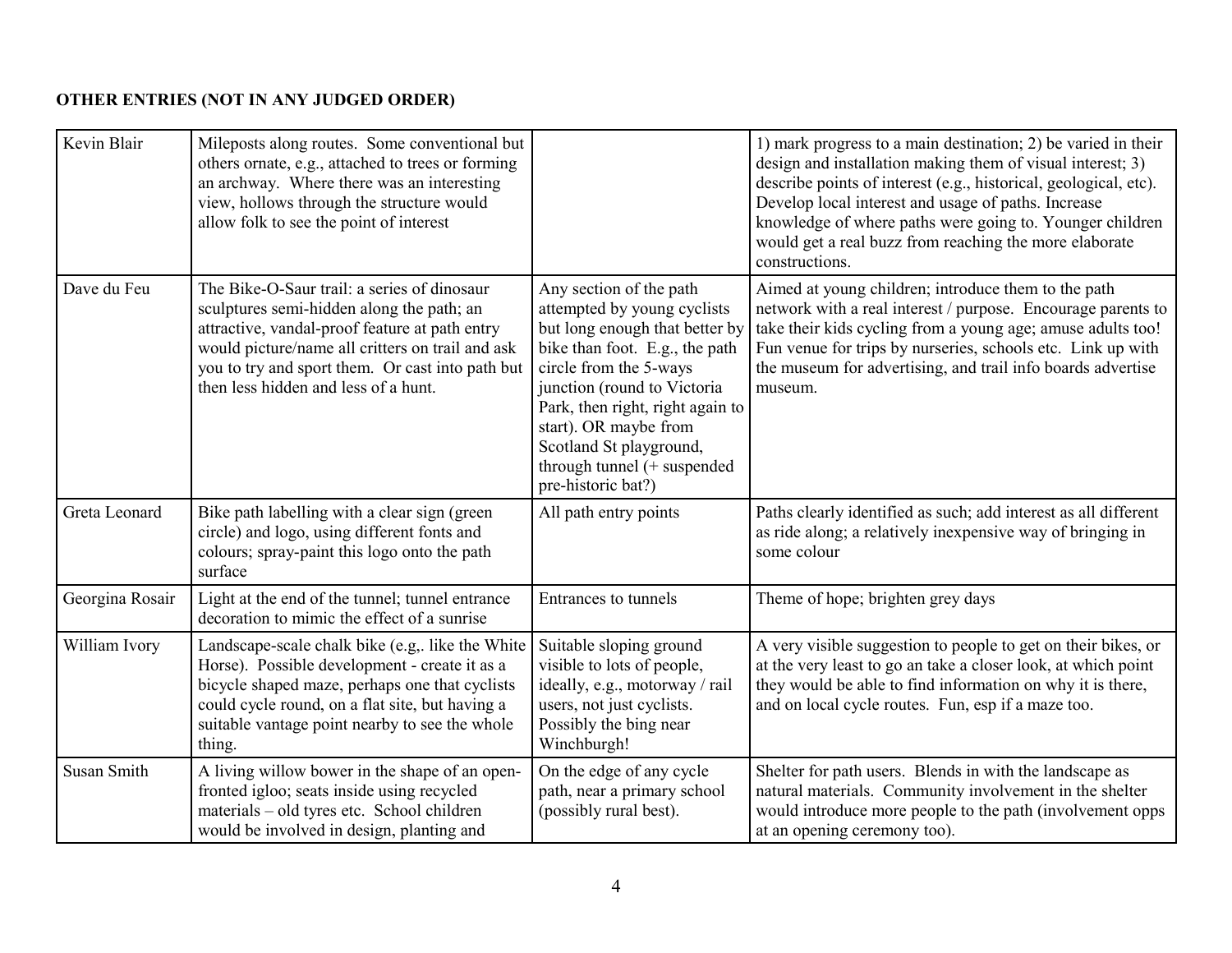## **OTHER ENTRIES (NOT IN ANY JUDGED ORDER)**

| Kevin Blair     | Mileposts along routes. Some conventional but<br>others ornate, e.g., attached to trees or forming<br>an archway. Where there was an interesting<br>view, hollows through the structure would<br>allow folk to see the point of interest                                                   |                                                                                                                                                                                                                                                                                                                                  | 1) mark progress to a main destination; 2) be varied in their<br>design and installation making them of visual interest; 3)<br>describe points of interest (e.g., historical, geological, etc).<br>Develop local interest and usage of paths. Increase<br>knowledge of where paths were going to. Younger children<br>would get a real buzz from reaching the more elaborate<br>constructions. |
|-----------------|--------------------------------------------------------------------------------------------------------------------------------------------------------------------------------------------------------------------------------------------------------------------------------------------|----------------------------------------------------------------------------------------------------------------------------------------------------------------------------------------------------------------------------------------------------------------------------------------------------------------------------------|------------------------------------------------------------------------------------------------------------------------------------------------------------------------------------------------------------------------------------------------------------------------------------------------------------------------------------------------------------------------------------------------|
| Dave du Feu     | The Bike-O-Saur trail: a series of dinosaur<br>sculptures semi-hidden along the path; an<br>attractive, vandal-proof feature at path entry<br>would picture/name all critters on trail and ask<br>you to try and sport them. Or cast into path but<br>then less hidden and less of a hunt. | Any section of the path<br>attempted by young cyclists<br>but long enough that better by<br>bike than foot. E.g., the path<br>circle from the 5-ways<br>junction (round to Victoria<br>Park, then right, right again to<br>start). OR maybe from<br>Scotland St playground,<br>through tunnel (+ suspended<br>pre-historic bat?) | Aimed at young children; introduce them to the path<br>network with a real interest / purpose. Encourage parents to<br>take their kids cycling from a young age; amuse adults too!<br>Fun venue for trips by nurseries, schools etc. Link up with<br>the museum for advertising, and trail info boards advertise<br>museum.                                                                    |
| Greta Leonard   | Bike path labelling with a clear sign (green<br>circle) and logo, using different fonts and<br>colours; spray-paint this logo onto the path<br>surface                                                                                                                                     | All path entry points                                                                                                                                                                                                                                                                                                            | Paths clearly identified as such; add interest as all different<br>as ride along; a relatively inexpensive way of bringing in<br>some colour                                                                                                                                                                                                                                                   |
| Georgina Rosair | Light at the end of the tunnel; tunnel entrance<br>decoration to mimic the effect of a sunrise                                                                                                                                                                                             | Entrances to tunnels                                                                                                                                                                                                                                                                                                             | Theme of hope; brighten grey days                                                                                                                                                                                                                                                                                                                                                              |
| William Ivory   | Landscape-scale chalk bike (e.g., like the White<br>Horse). Possible development - create it as a<br>bicycle shaped maze, perhaps one that cyclists<br>could cycle round, on a flat site, but having a<br>suitable vantage point nearby to see the whole<br>thing.                         | Suitable sloping ground<br>visible to lots of people,<br>ideally, e.g., motorway / rail<br>users, not just cyclists.<br>Possibly the bing near<br>Winchburgh!                                                                                                                                                                    | A very visible suggestion to people to get on their bikes, or<br>at the very least to go an take a closer look, at which point<br>they would be able to find information on why it is there,<br>and on local cycle routes. Fun, esp if a maze too.                                                                                                                                             |
| Susan Smith     | A living willow bower in the shape of an open-<br>fronted igloo; seats inside using recycled<br>materials - old tyres etc. School children<br>would be involved in design, planting and                                                                                                    | On the edge of any cycle<br>path, near a primary school<br>(possibly rural best).                                                                                                                                                                                                                                                | Shelter for path users. Blends in with the landscape as<br>natural materials. Community involvement in the shelter<br>would introduce more people to the path (involvement opps<br>at an opening ceremony too).                                                                                                                                                                                |